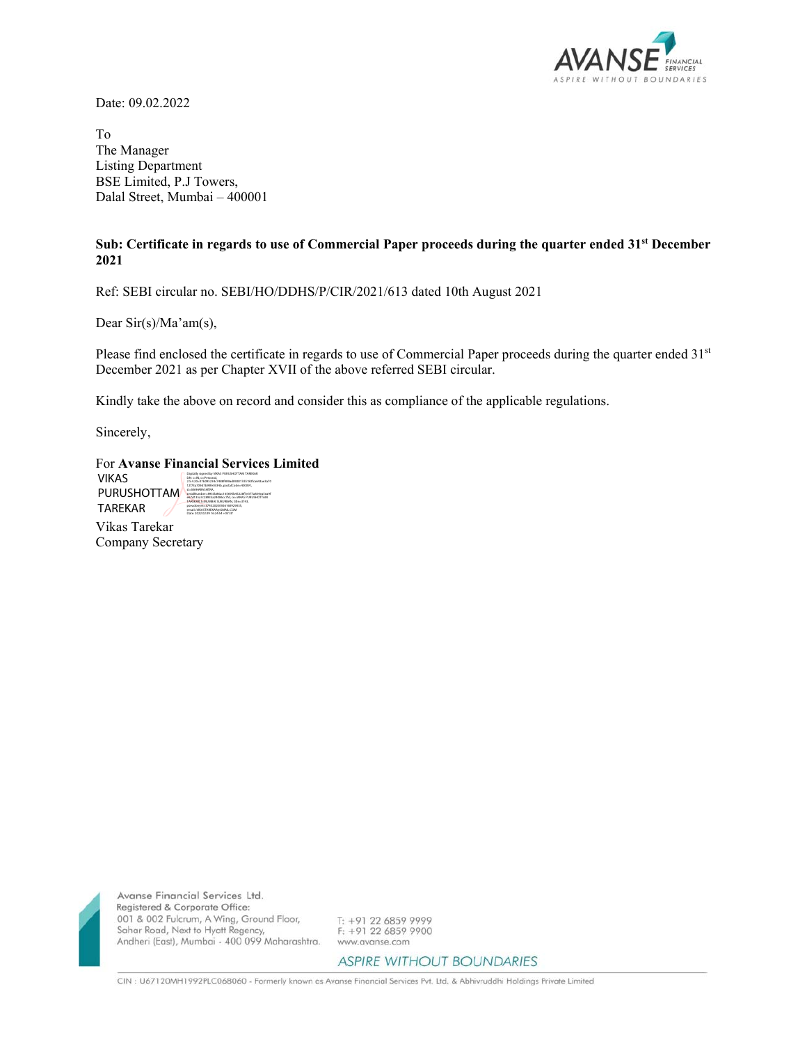

Date: 09.02.2022

To The Manager Listing Department BSE Limited, P.J Towers, Dalal Street, Mumbai – 400001

## **Sub: Certificate in regards to use of Commercial Paper proceeds during the quarter ended 31st December 2021**

Ref: SEBI circular no. SEBI/HO/DDHS/P/CIR/2021/613 dated 10th August 2021

Dear Sir(s)/Ma'am(s),

Please find enclosed the certificate in regards to use of Commercial Paper proceeds during the quarter ended 31<sup>st</sup> December 2021 as per Chapter XVII of the above referred SEBI circular.

Kindly take the above on record and consider this as compliance of the applicable regulations.

Sincerely,

| <b>For Avanse Financial Services Limited</b> |                                                                                                                                                                                                                  |
|----------------------------------------------|------------------------------------------------------------------------------------------------------------------------------------------------------------------------------------------------------------------|
| VIKAS                                        | Digitally signed by VIKAS PURUSHOTTAM TAREKAR<br>DN: c=IN. o=Personal.<br>2.5.4.20=07hd95234r7488f489arf892817rf5183fra643ar3a70                                                                                 |
| <b>PURUSHOTTAM</b>                           | 12f73a709d7b99fe0334b.postalCode=400091.<br>st=MAHARASHTRA.<br>serialNumber=8933b86ac105695b45228f7e377a834ea5ea9f<br>e67d135a7c28935a24086cc7fd.cn=VIKAS PURUSHOTTAM<br>TAREKAR, I-MUMBAI SUBURBAN, title-3743. |
| <b>TAREKAR</b>                               | pseudonym-374320200926160929035.<br>email=VIKASTAREKAR@GMAIL.COM<br>Date: 2022 02:09:16:24:54 J/PE301                                                                                                            |
| Vikas Tarekar                                |                                                                                                                                                                                                                  |
| Company Secretary                            |                                                                                                                                                                                                                  |



Avanse Financial Services Ltd. Registered & Corporate Office: 001 & 002 Fulcrum, A Wing, Ground Floor, Sahar Road, Next to Hyatt Regency,<br>Andheri (East), Mumbai - 400 099 Maharashtra.

T: +91 22 6859 9999  $F: +91 22 6859 9900$ www.avanse.com

**ASPIRE WITHOUT BOUNDARIES** 

CIN : U67120MH1992PLC068060 - Formerly known as Avanse Financial Services Pvt. Ltd. & Abhivruddhi Holdings Private Limited